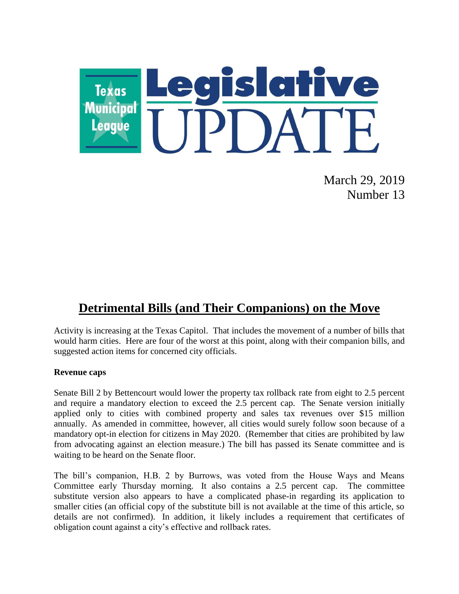

March 29, 2019 Number 13

## **Detrimental Bills (and Their Companions) on the Move**

Activity is increasing at the Texas Capitol. That includes the movement of a number of bills that would harm cities. Here are four of the worst at this point, along with their companion bills, and suggested action items for concerned city officials.

#### **Revenue caps**

Senate Bill 2 by Bettencourt would lower the property tax rollback rate from eight to 2.5 percent and require a mandatory election to exceed the 2.5 percent cap. The Senate version initially applied only to cities with combined property and sales tax revenues over \$15 million annually. As amended in committee, however, all cities would surely follow soon because of a mandatory opt-in election for citizens in May 2020. (Remember that cities are prohibited by law from advocating against an election measure.) The bill has passed its Senate committee and is waiting to be heard on the Senate floor.

The bill's companion, H.B. 2 by Burrows, was voted from the House Ways and Means Committee early Thursday morning. It also contains a 2.5 percent cap. The committee substitute version also appears to have a complicated phase-in regarding its application to smaller cities (an official copy of the substitute bill is not available at the time of this article, so details are not confirmed). In addition, it likely includes a requirement that certificates of obligation count against a city's effective and rollback rates.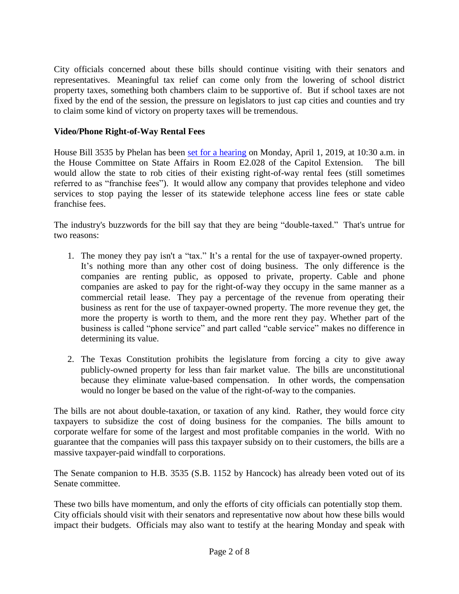City officials concerned about these bills should continue visiting with their senators and representatives. Meaningful tax relief can come only from the lowering of school district property taxes, something both chambers claim to be supportive of. But if school taxes are not fixed by the end of the session, the pressure on legislators to just cap cities and counties and try to claim some kind of victory on property taxes will be tremendous.

### **Video/Phone Right-of-Way Rental Fees**

House Bill 3535 by Phelan has been [set for a hearing](http://r20.rs6.net/tn.jsp?f=0012r0zzGKqkX6Kh1ARCbFXEo2g-G2AIgWPgwUPfkQOsFkfLbU-UCuIn_HwrbzJEmbPh4ceUFo9wvQzCBWrh_YEcljMY_-RO1GVqyXZSGj6aYCmbsoDHMTsaKsCYNf2YNlO7brWTBmVEt1QFn5ULQJJ3YsbbAK883125uA6pMOOqmrfybLM0lGPHOHbLyGLSY-EO4aF4YpxSlZloS0fXl_O1fsHxpSTYMENX3_ciwPwqIrEN-6BPt1vjw==&c=Uu8sUJwlRYGdv-X2y2J4ndGoKoM-CbjD0UoUZ_k8CVMvcfhxkLdehA==&ch=2EG0KkqKOj1NUaVgLsZSVQc6c6cDpksb4iQPoYdf3eilrKgsOu-vXA==) on Monday, April 1, 2019, at 10:30 a.m. in the House Committee on State Affairs in Room E2.028 of the Capitol Extension. The bill would allow the state to rob cities of their existing right-of-way rental fees (still sometimes referred to as "franchise fees"). It would allow any company that provides telephone and video services to stop paying the lesser of its statewide telephone access line fees or state cable franchise fees.

The industry's buzzwords for the bill say that they are being "double-taxed." That's untrue for two reasons:

- 1. The money they pay isn't a "tax." It's a rental for the use of taxpayer-owned property. It's nothing more than any other cost of doing business. The only difference is the companies are renting public, as opposed to private, property. Cable and phone companies are asked to pay for the right-of-way they occupy in the same manner as a commercial retail lease. They pay a percentage of the revenue from operating their business as rent for the use of taxpayer-owned property. The more revenue they get, the more the property is worth to them, and the more rent they pay. Whether part of the business is called "phone service" and part called "cable service" makes no difference in determining its value.
- 2. The Texas Constitution prohibits the legislature from forcing a city to give away publicly-owned property for less than fair market value. The bills are unconstitutional because they eliminate value-based compensation. In other words, the compensation would no longer be based on the value of the right-of-way to the companies.

The bills are not about double-taxation, or taxation of any kind. Rather, they would force city taxpayers to subsidize the cost of doing business for the companies. The bills amount to corporate welfare for some of the largest and most profitable companies in the world. With no guarantee that the companies will pass this taxpayer subsidy on to their customers, the bills are a massive taxpayer-paid windfall to corporations.

The Senate companion to H.B. 3535 (S.B. 1152 by Hancock) has already been voted out of its Senate committee.

These two bills have momentum, and only the efforts of city officials can potentially stop them. City officials should visit with their senators and representative now about how these bills would impact their budgets. Officials may also want to testify at the hearing Monday and speak with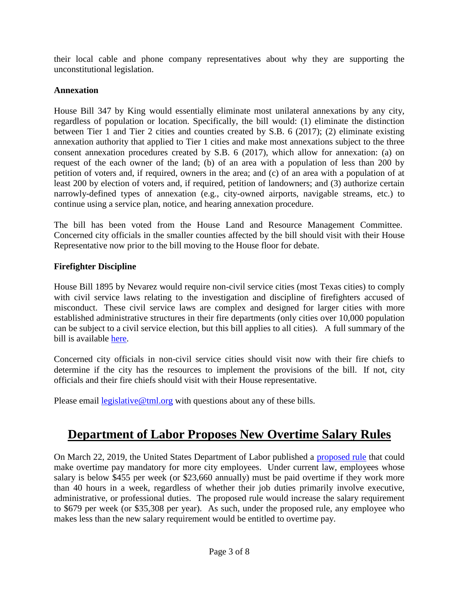their local cable and phone company representatives about why they are supporting the unconstitutional legislation.

### **Annexation**

House Bill 347 by King would essentially eliminate most unilateral annexations by any city, regardless of population or location. Specifically, the bill would: (1) eliminate the distinction between Tier 1 and Tier 2 cities and counties created by S.B. 6 (2017); (2) eliminate existing annexation authority that applied to Tier 1 cities and make most annexations subject to the three consent annexation procedures created by S.B. 6 (2017), which allow for annexation: (a) on request of the each owner of the land; (b) of an area with a population of less than 200 by petition of voters and, if required, owners in the area; and (c) of an area with a population of at least 200 by election of voters and, if required, petition of landowners; and (3) authorize certain narrowly-defined types of annexation (e.g., city-owned airports, navigable streams, etc.) to continue using a service plan, notice, and hearing annexation procedure.

The bill has been voted from the House Land and Resource Management Committee. Concerned city officials in the smaller counties affected by the bill should visit with their House Representative now prior to the bill moving to the House floor for debate.

## **Firefighter Discipline**

House Bill 1895 by Nevarez would require non-civil service cities (most Texas cities) to comply with civil service laws relating to the investigation and discipline of firefighters accused of misconduct. These civil service laws are complex and designed for larger cities with more established administrative structures in their fire departments (only cities over 10,000 population can be subject to a civil service election, but this bill applies to all cities). A full summary of the bill is available [here.](https://tx-texasmunicipalleague.civicplus.com/DocumentCenter/View/1108/HB-1895-Summary)

Concerned city officials in non-civil service cities should visit now with their fire chiefs to determine if the city has the resources to implement the provisions of the bill. If not, city officials and their fire chiefs should visit with their House representative.

Please email [legislative@tml.org](mailto:legislative@tml.org) with questions about any of these bills.

# **Department of Labor Proposes New Overtime Salary Rules**

On March 22, 2019, the United States Department of Labor published a [proposed rule](https://www.govinfo.gov/content/pkg/FR-2019-03-22/pdf/2019-04514.pdf) that could make overtime pay mandatory for more city employees. Under current law, employees whose salary is below \$455 per week (or \$23,660 annually) must be paid overtime if they work more than 40 hours in a week, regardless of whether their job duties primarily involve executive, administrative, or professional duties. The proposed rule would increase the salary requirement to \$679 per week (or \$35,308 per year). As such, under the proposed rule, any employee who makes less than the new salary requirement would be entitled to overtime pay.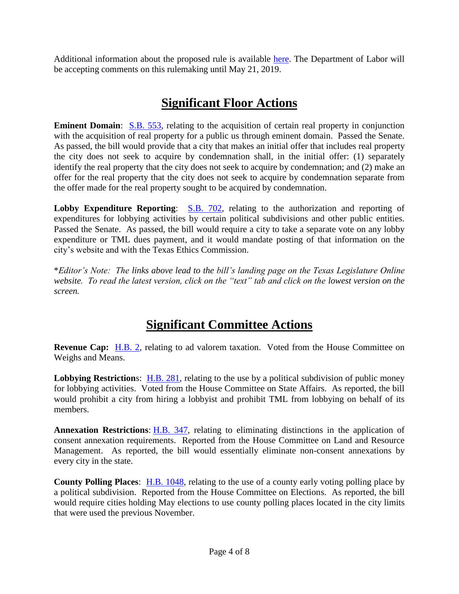Additional information about the proposed rule is available [here.](https://www.dol.gov/whd/overtime2019/index.htm) The Department of Labor will be accepting comments on this rulemaking until May 21, 2019.

# **Significant Floor Actions**

**Eminent Domain:** [S.B. 553,](https://capitol.texas.gov/BillLookup/History.aspx?LegSess=86R&Bill=SB553) relating to the acquisition of certain real property in conjunction with the acquisition of real property for a public us through eminent domain. Passed the Senate. As passed, the bill would provide that a city that makes an initial offer that includes real property the city does not seek to acquire by condemnation shall, in the initial offer: (1) separately identify the real property that the city does not seek to acquire by condemnation; and (2) make an offer for the real property that the city does not seek to acquire by condemnation separate from the offer made for the real property sought to be acquired by condemnation.

**Lobby Expenditure Reporting:** [S.B. 702,](https://capitol.texas.gov/BillLookup/History.aspx?LegSess=86R&Bill=SB702) relating to the authorization and reporting of expenditures for lobbying activities by certain political subdivisions and other public entities. Passed the Senate. As passed, the bill would require a city to take a separate vote on any lobby expenditure or TML dues payment, and it would mandate posting of that information on the city's website and with the Texas Ethics Commission.

\**Editor's Note: The links above lead to the bill's landing page on the Texas Legislature Online website. To read the latest version, click on the "text" tab and click on the lowest version on the screen.*

# **Significant Committee Actions**

**Revenue Cap:** [H.B. 2,](https://capitol.texas.gov/BillLookup/History.aspx?LegSess=86R&Bill=HB2) relating to ad valorem taxation. Voted from the House Committee on Weighs and Means.

**Lobbying Restrictions:** [H.B. 281,](https://capitol.texas.gov/BillLookup/History.aspx?LegSess=86R&Bill=HB281) relating to the use by a political subdivision of public money for lobbying activities. Voted from the House Committee on State Affairs. As reported, the bill would prohibit a city from hiring a lobbyist and prohibit TML from lobbying on behalf of its members.

**Annexation Restrictions**: [H.B. 347,](https://capitol.texas.gov/BillLookup/History.aspx?LegSess=86R&Bill=HB347) relating to eliminating distinctions in the application of consent annexation requirements. Reported from the House Committee on Land and Resource Management. As reported, the bill would essentially eliminate non-consent annexations by every city in the state.

**County Polling Places**: [H.B. 1048,](https://capitol.texas.gov/BillLookup/History.aspx?LegSess=86R&Bill=HB1048) relating to the use of a county early voting polling place by a political subdivision. Reported from the House Committee on Elections. As reported, the bill would require cities holding May elections to use county polling places located in the city limits that were used the previous November.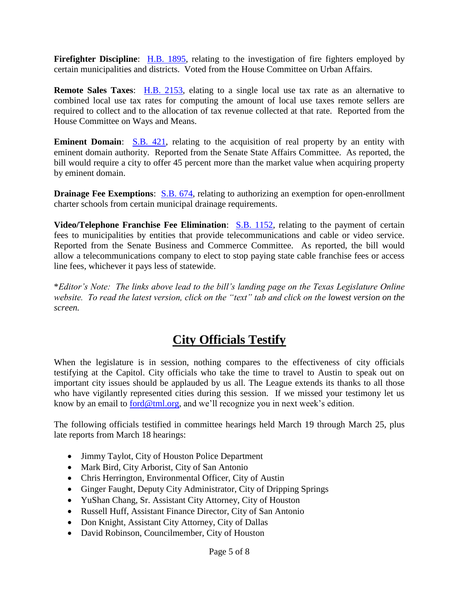**Firefighter Discipline**: [H.B. 1895,](https://capitol.texas.gov/BillLookup/History.aspx?LegSess=86R&Bill=HB1895) relating to the investigation of fire fighters employed by certain municipalities and districts. Voted from the House Committee on Urban Affairs.

**Remote Sales Taxes**: [H.B. 2153,](https://capitol.texas.gov/BillLookup/History.aspx?LegSess=86R&Bill=HB2153) elating to a single local use tax rate as an alternative to combined local use tax rates for computing the amount of local use taxes remote sellers are required to collect and to the allocation of tax revenue collected at that rate. Reported from the House Committee on Ways and Means.

**Eminent Domain:** [S.B. 421,](https://capitol.texas.gov/BillLookup/History.aspx?LegSess=86R&Bill=SB421) relating to the acquisition of real property by an entity with eminent domain authority. Reported from the Senate State Affairs Committee. As reported, the bill would require a city to offer 45 percent more than the market value when acquiring property by eminent domain.

**Drainage Fee Exemptions:** [S.B. 674,](https://capitol.texas.gov/BillLookup/History.aspx?LegSess=86R&Bill=SB674) relating to authorizing an exemption for open-enrollment charter schools from certain municipal drainage requirements.

**Video/Telephone Franchise Fee Elimination:** [S.B. 1152,](https://capitol.texas.gov/BillLookup/History.aspx?LegSess=86R&Bill=SB1152) relating to the payment of certain fees to municipalities by entities that provide telecommunications and cable or video service. Reported from the Senate Business and Commerce Committee. As reported, the bill would allow a telecommunications company to elect to stop paying state cable franchise fees or access line fees, whichever it pays less of statewide.

\**Editor's Note: The links above lead to the bill's landing page on the Texas Legislature Online website. To read the latest version, click on the "text" tab and click on the lowest version on the screen.*

# **City Officials Testify**

When the legislature is in session, nothing compares to the effectiveness of city officials testifying at the Capitol. City officials who take the time to travel to Austin to speak out on important city issues should be applauded by us all. The League extends its thanks to all those who have vigilantly represented cities during this session. If we missed your testimony let us know by an email to [ford@tml.org,](mailto:ford@tml.org) and we'll recognize you in next week's edition.

The following officials testified in committee hearings held March 19 through March 25, plus late reports from March 18 hearings:

- Jimmy Taylot, City of Houston Police Department
- Mark Bird, City Arborist, City of San Antonio
- Chris Herrington, Environmental Officer, City of Austin
- Ginger Faught, Deputy City Administrator, City of Dripping Springs
- YuShan Chang, Sr. Assistant City Attorney, City of Houston
- Russell Huff, Assistant Finance Director, City of San Antonio
- Don Knight, Assistant City Attorney, City of Dallas
- David Robinson, Councilmember, City of Houston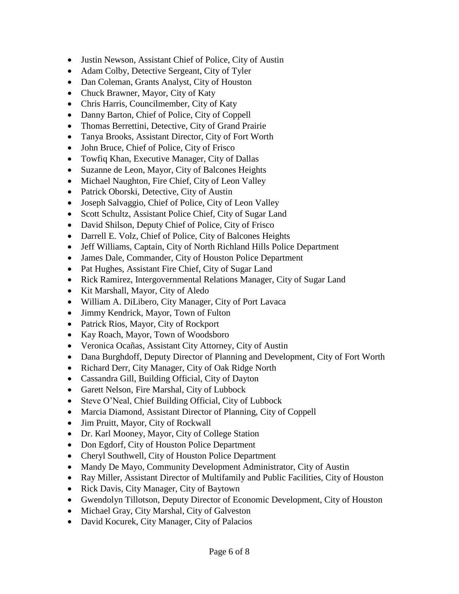- Justin Newson, Assistant Chief of Police, City of Austin
- Adam Colby, Detective Sergeant, City of Tyler
- Dan Coleman, Grants Analyst, City of Houston
- Chuck Brawner, Mayor, City of Katy
- Chris Harris, Councilmember, City of Katy
- Danny Barton, Chief of Police, City of Coppell
- Thomas Berrettini, Detective, City of Grand Prairie
- Tanya Brooks, Assistant Director, City of Fort Worth
- John Bruce, Chief of Police, City of Frisco
- Towfiq Khan, Executive Manager, City of Dallas
- Suzanne de Leon, Mayor, City of Balcones Heights
- Michael Naughton, Fire Chief, City of Leon Valley
- Patrick Oborski, Detective, City of Austin
- Joseph Salvaggio, Chief of Police, City of Leon Valley
- Scott Schultz, Assistant Police Chief, City of Sugar Land
- David Shilson, Deputy Chief of Police, City of Frisco
- Darrell E. Volz, Chief of Police, City of Balcones Heights
- Jeff Williams, Captain, City of North Richland Hills Police Department
- James Dale, Commander, City of Houston Police Department
- Pat Hughes, Assistant Fire Chief, City of Sugar Land
- Rick Ramirez, Intergovernmental Relations Manager, City of Sugar Land
- Kit Marshall, Mayor, City of Aledo
- William A. DiLibero, City Manager, City of Port Lavaca
- Jimmy Kendrick, Mayor, Town of Fulton
- Patrick Rios, Mayor, City of Rockport
- Kay Roach, Mayor, Town of Woodsboro
- Veronica Ocañas, Assistant City Attorney, City of Austin
- Dana Burghdoff, Deputy Director of Planning and Development, City of Fort Worth
- Richard Derr, City Manager, City of Oak Ridge North
- Cassandra Gill, Building Official, City of Dayton
- Garett Nelson, Fire Marshal, City of Lubbock
- Steve O'Neal, Chief Building Official, City of Lubbock
- Marcia Diamond, Assistant Director of Planning, City of Coppell
- Jim Pruitt, Mayor, City of Rockwall
- Dr. Karl Mooney, Mayor, City of College Station
- Don Egdorf, City of Houston Police Department
- Cheryl Southwell, City of Houston Police Department
- Mandy De Mayo, Community Development Administrator, City of Austin
- Ray Miller, Assistant Director of Multifamily and Public Facilities, City of Houston
- Rick Davis, City Manager, City of Baytown
- Gwendolyn Tillotson, Deputy Director of Economic Development, City of Houston
- Michael Gray, City Marshal, City of Galveston
- David Kocurek, City Manager, City of Palacios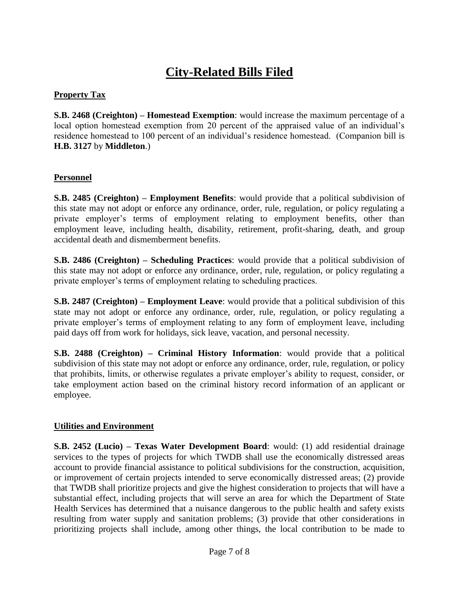# **City-Related Bills Filed**

### **Property Tax**

**S.B. 2468 (Creighton) – Homestead Exemption**: would increase the maximum percentage of a local option homestead exemption from 20 percent of the appraised value of an individual's residence homestead to 100 percent of an individual's residence homestead. (Companion bill is **H.B. 3127** by **Middleton**.)

#### **Personnel**

**S.B. 2485 (Creighton) – Employment Benefits**: would provide that a political subdivision of this state may not adopt or enforce any ordinance, order, rule, regulation, or policy regulating a private employer's terms of employment relating to employment benefits, other than employment leave, including health, disability, retirement, profit-sharing, death, and group accidental death and dismemberment benefits.

**S.B. 2486 (Creighton) – Scheduling Practices**: would provide that a political subdivision of this state may not adopt or enforce any ordinance, order, rule, regulation, or policy regulating a private employer's terms of employment relating to scheduling practices.

**S.B. 2487 (Creighton) – Employment Leave**: would provide that a political subdivision of this state may not adopt or enforce any ordinance, order, rule, regulation, or policy regulating a private employer's terms of employment relating to any form of employment leave, including paid days off from work for holidays, sick leave, vacation, and personal necessity.

**S.B. 2488 (Creighton) – Criminal History Information**: would provide that a political subdivision of this state may not adopt or enforce any ordinance, order, rule, regulation, or policy that prohibits, limits, or otherwise regulates a private employer's ability to request, consider, or take employment action based on the criminal history record information of an applicant or employee.

#### **Utilities and Environment**

**S.B. 2452 (Lucio) – Texas Water Development Board**: would: (1) add residential drainage services to the types of projects for which TWDB shall use the economically distressed areas account to provide financial assistance to political subdivisions for the construction, acquisition, or improvement of certain projects intended to serve economically distressed areas; (2) provide that TWDB shall prioritize projects and give the highest consideration to projects that will have a substantial effect, including projects that will serve an area for which the Department of State Health Services has determined that a nuisance dangerous to the public health and safety exists resulting from water supply and sanitation problems; (3) provide that other considerations in prioritizing projects shall include, among other things, the local contribution to be made to